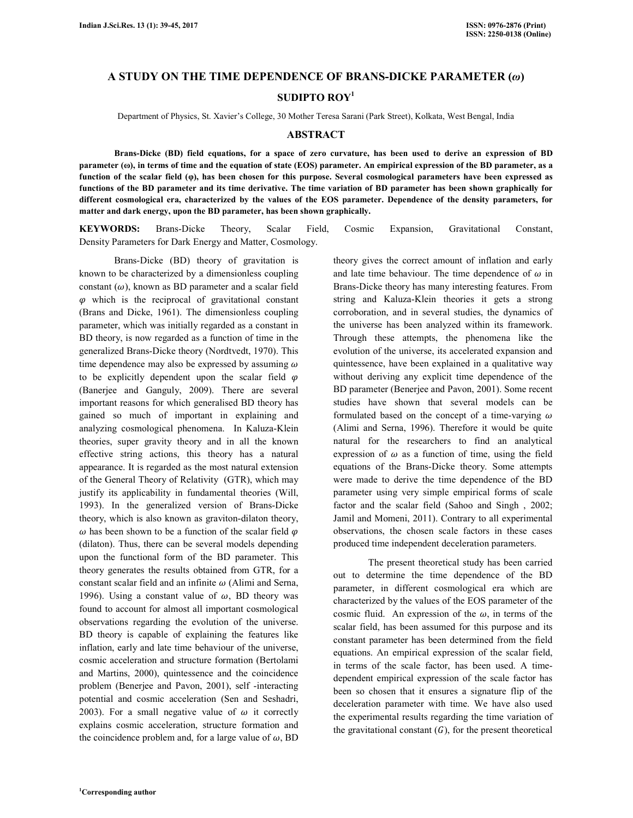## **A STUDY ON THE TIME DEPENDENCE OF BRANS-DICKE PARAMETER (***ω***)**

# **SUDIPTO ROY<sup>1</sup>**

Department of Physics, St. Xavier's College, 30 Mother Teresa Sarani (Park Street), Kolkata, West Bengal, India

#### **ABSTRACT**

 **Brans-Dicke (BD) field equations, for a space of zero curvature, has been used to derive an expression of BD parameter (ω), in terms of time and the equation of state (EOS) parameter. An empirical expression of the BD parameter, as a function of the scalar field (φ), has been chosen for this purpose. Several cosmological parameters have been expressed as functions of the BD parameter and its time derivative. The time variation of BD parameter has been shown graphically for different cosmological era, characterized by the values of the EOS parameter. Dependence of the density parameters, for matter and dark energy, upon the BD parameter, has been shown graphically.** 

**KEYWORDS:** Brans-Dicke Theory, Scalar Field, Cosmic Expansion, Gravitational Constant, Density Parameters for Dark Energy and Matter, Cosmology.

 Brans-Dicke (BD) theory of gravitation is known to be characterized by a dimensionless coupling constant  $(\omega)$ , known as BD parameter and a scalar field  $\varphi$  which is the reciprocal of gravitational constant (Brans and Dicke, 1961). The dimensionless coupling parameter, which was initially regarded as a constant in BD theory, is now regarded as a function of time in the generalized Brans-Dicke theory (Nordtvedt, 1970). This time dependence may also be expressed by assuming  $\omega$ to be explicitly dependent upon the scalar field  $\varphi$ (Banerjee and Ganguly, 2009). There are several important reasons for which generalised BD theory has gained so much of important in explaining and analyzing cosmological phenomena. In Kaluza-Klein theories, super gravity theory and in all the known effective string actions, this theory has a natural appearance. It is regarded as the most natural extension of the General Theory of Relativity (GTR), which may justify its applicability in fundamental theories (Will, 1993). In the generalized version of Brans-Dicke theory, which is also known as graviton-dilaton theory,  $\omega$  has been shown to be a function of the scalar field  $\varphi$ (dilaton). Thus, there can be several models depending upon the functional form of the BD parameter. This theory generates the results obtained from GTR, for a constant scalar field and an infinite  $\omega$  (Alimi and Serna, 1996). Using a constant value of  $\omega$ , BD theory was found to account for almost all important cosmological observations regarding the evolution of the universe. BD theory is capable of explaining the features like inflation, early and late time behaviour of the universe, cosmic acceleration and structure formation (Bertolami and Martins, 2000), quintessence and the coincidence problem (Benerjee and Pavon, 2001), self -interacting potential and cosmic acceleration (Sen and Seshadri, 2003). For a small negative value of  $\omega$  it correctly explains cosmic acceleration, structure formation and the coincidence problem and, for a large value of  $\omega$ , BD

theory gives the correct amount of inflation and early and late time behaviour. The time dependence of  $\omega$  in Brans-Dicke theory has many interesting features. From string and Kaluza-Klein theories it gets a strong corroboration, and in several studies, the dynamics of the universe has been analyzed within its framework. Through these attempts, the phenomena like the evolution of the universe, its accelerated expansion and quintessence, have been explained in a qualitative way without deriving any explicit time dependence of the BD parameter (Benerjee and Pavon, 2001). Some recent studies have shown that several models can be formulated based on the concept of a time-varying  $\omega$ (Alimi and Serna, 1996). Therefore it would be quite natural for the researchers to find an analytical expression of  $\omega$  as a function of time, using the field equations of the Brans-Dicke theory. Some attempts were made to derive the time dependence of the BD parameter using very simple empirical forms of scale factor and the scalar field (Sahoo and Singh , 2002; Jamil and Momeni, 2011). Contrary to all experimental observations, the chosen scale factors in these cases produced time independent deceleration parameters.

 The present theoretical study has been carried out to determine the time dependence of the BD parameter, in different cosmological era which are characterized by the values of the EOS parameter of the cosmic fluid. An expression of the  $\omega$ , in terms of the scalar field, has been assumed for this purpose and its constant parameter has been determined from the field equations. An empirical expression of the scalar field, in terms of the scale factor, has been used. A timedependent empirical expression of the scale factor has been so chosen that it ensures a signature flip of the deceleration parameter with time. We have also used the experimental results regarding the time variation of the gravitational constant  $(G)$ , for the present theoretical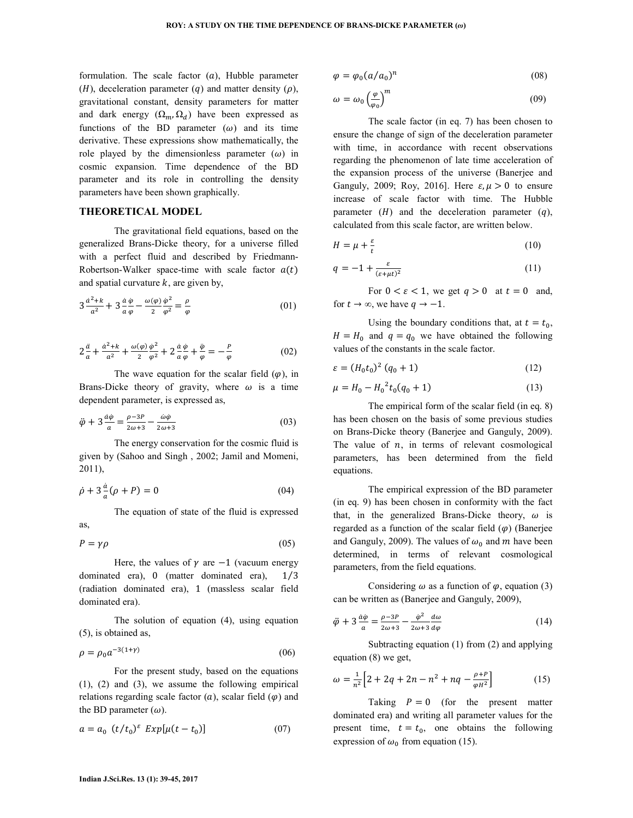formulation. The scale factor  $(a)$ , Hubble parameter  $(H)$ , deceleration parameter  $(q)$  and matter density  $(p)$ , gravitational constant, density parameters for matter and dark energy  $(\Omega_m, \Omega_d)$  have been expressed as functions of the BD parameter  $(\omega)$  and its time derivative. These expressions show mathematically, the role played by the dimensionless parameter  $(\omega)$  in cosmic expansion. Time dependence of the BD parameter and its role in controlling the density parameters have been shown graphically.

#### **THEORETICAL MODEL**

 The gravitational field equations, based on the generalized Brans-Dicke theory, for a universe filled with a perfect fluid and described by Friedmann-Robertson-Walker space-time with scale factor  $a(t)$ and spatial curvature  $k$ , are given by,

$$
3\frac{a^2+k}{a^2} + 3\frac{a\,\varphi}{a\,\varphi} - \frac{\omega(\varphi)}{2}\frac{\varphi^2}{\varphi^2} = \frac{\rho}{\varphi}
$$
\n<sup>(01)</sup>

$$
2\frac{\ddot{a}}{a} + \frac{\dot{a}^2 + k}{a^2} + \frac{\omega(\varphi)}{2} \frac{\dot{\varphi}^2}{\varphi^2} + 2\frac{\dot{a}}{a} \frac{\dot{\varphi}}{\varphi} + \frac{\ddot{\varphi}}{\varphi} = -\frac{P}{\varphi}
$$
(02)

The wave equation for the scalar field  $(\varphi)$ , in Brans-Dicke theory of gravity, where  $\omega$  is a time dependent parameter, is expressed as,

$$
\ddot{\varphi} + 3 \frac{\dot{a}\dot{\varphi}}{a} = \frac{\rho - 3P}{2\omega + 3} - \frac{\dot{\omega}\dot{\varphi}}{2\omega + 3}
$$
(03)

 The energy conservation for the cosmic fluid is given by (Sahoo and Singh , 2002; Jamil and Momeni, 2011),

$$
\dot{\rho} + 3\frac{a}{a}(\rho + P) = 0\tag{04}
$$

 The equation of state of the fluid is expressed as,

 $P = \gamma \rho$  (05)

Here, the values of  $\gamma$  are  $-1$  (vacuum energy dominated era),  $0 \text{ (matter dominated era)}, \quad 1/3$ (radiation dominated era), 1 (massless scalar field dominated era).

 The solution of equation (4), using equation (5), is obtained as,

$$
\rho = \rho_0 a^{-3(1+\gamma)} \tag{06}
$$

 For the present study, based on the equations (1), (2) and (3), we assume the following empirical relations regarding scale factor  $(a)$ , scalar field  $(\varphi)$  and the BD parameter  $(\omega)$ .

$$
a = a_0 \ (t/t_0)^{\varepsilon} \ Exp[\mu(t - t_0)] \tag{07}
$$

$$
\varphi = \varphi_0 (a/a_0)^n \tag{08}
$$

$$
\omega = \omega_0 \left(\frac{\varphi}{\varphi_0}\right)^m \tag{09}
$$

 The scale factor (in eq. 7) has been chosen to ensure the change of sign of the deceleration parameter with time, in accordance with recent observations regarding the phenomenon of late time acceleration of the expansion process of the universe (Banerjee and Ganguly, 2009; Roy, 2016]. Here  $\varepsilon, \mu > 0$  to ensure increase of scale factor with time. The Hubble parameter  $(H)$  and the deceleration parameter  $(q)$ , calculated from this scale factor, are written below.

$$
H = \mu + \frac{\varepsilon}{t} \tag{10}
$$

$$
q = -1 + \frac{\varepsilon}{(\varepsilon + \mu t)^2} \tag{11}
$$

For  $0 < \varepsilon < 1$ , we get  $q > 0$  at  $t = 0$  and, for  $t \to \infty$ , we have  $q \to -1$ .

Using the boundary conditions that, at  $t = t_0$ ,  $H = H_0$  and  $q = q_0$  we have obtained the following values of the constants in the scale factor.

$$
\varepsilon = (H_0 t_0)^2 (q_0 + 1) \tag{12}
$$

$$
\mu = H_0 - H_0^2 t_0 (q_0 + 1) \tag{13}
$$

 The empirical form of the scalar field (in eq. 8) has been chosen on the basis of some previous studies on Brans-Dicke theory (Banerjee and Ganguly, 2009). The value of  $n$ , in terms of relevant cosmological parameters, has been determined from the field equations.

 The empirical expression of the BD parameter (in eq. 9) has been chosen in conformity with the fact that, in the generalized Brans-Dicke theory,  $\omega$  is regarded as a function of the scalar field  $(\varphi)$  (Banerjee and Ganguly, 2009). The values of  $\omega_0$  and m have been determined, in terms of relevant cosmological parameters, from the field equations.

Considering  $\omega$  as a function of  $\varphi$ , equation (3) can be written as (Banerjee and Ganguly, 2009),

$$
\ddot{\varphi} + 3\frac{\dot{a}\dot{\varphi}}{a} = \frac{\rho - 3P}{2\omega + 3} - \frac{\dot{\varphi}^2}{2\omega + 3}\frac{d\omega}{d\varphi}
$$
(14)

 Subtracting equation (1) from (2) and applying equation (8) we get,

$$
\omega = \frac{1}{n^2} \Big[ 2 + 2q + 2n - n^2 + nq - \frac{\rho + p}{\varphi H^2} \Big] \tag{15}
$$

Taking  $P = 0$  (for the present matter dominated era) and writing all parameter values for the present time,  $t = t_0$ , one obtains the following expression of  $\omega_0$  from equation (15).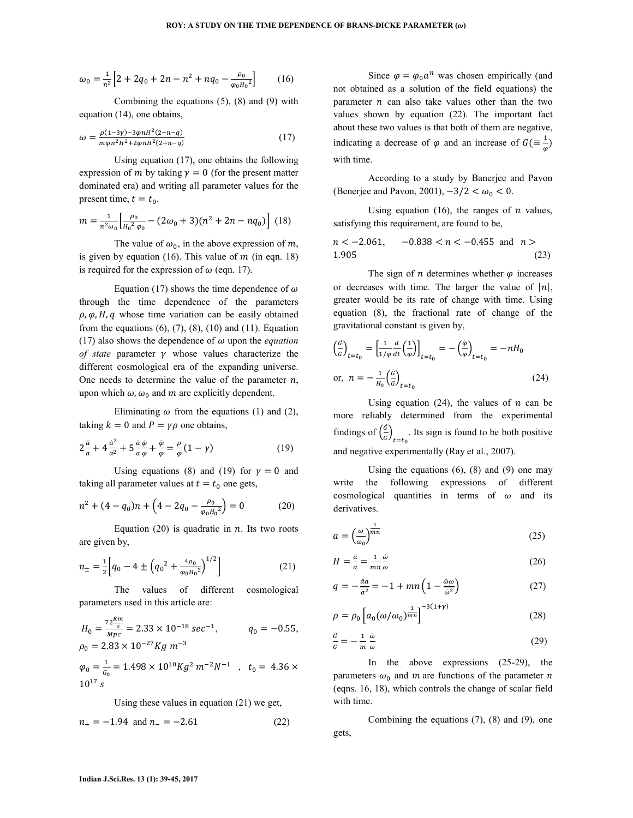$$
\omega_0 = \frac{1}{n^2} \Big[ 2 + 2q_0 + 2n - n^2 + nq_0 - \frac{\rho_0}{\varphi_0 H_0{}^2} \Big] \qquad (16)
$$

 Combining the equations (5), (8) and (9) with equation (14), one obtains,

$$
\omega = \frac{\rho(1-3\gamma) - 3\varphi n H^2 (2+n-q)}{m\varphi n^2 H^2 + 2\varphi n H^2 (2+n-q)}
$$
(17)

 Using equation (17), one obtains the following expression of m by taking  $y = 0$  (for the present matter dominated era) and writing all parameter values for the present time,  $t = t_0$ .

$$
m = \frac{1}{n^2 \omega_0} \left[ \frac{\rho_0}{H_0^2 \varphi_0} - (2\omega_0 + 3)(n^2 + 2n - nq_0) \right] (18)
$$

The value of  $\omega_0$ , in the above expression of m, is given by equation (16). This value of  $m$  (in eqn. 18) is required for the expression of  $\omega$  (eqn. 17).

Equation (17) shows the time dependence of  $\omega$ through the time dependence of the parameters  $\rho$ ,  $\varphi$ ,  $H$ ,  $q$  whose time variation can be easily obtained from the equations  $(6)$ ,  $(7)$ ,  $(8)$ ,  $(10)$  and  $(11)$ . Equation (17) also shows the dependence of  $\omega$  upon the *equation of state* parameter  $\gamma$  whose values characterize the different cosmological era of the expanding universe. One needs to determine the value of the parameter  $n$ , upon which  $\omega$ ,  $\omega_0$  and m are explicitly dependent.

Eliminating  $\omega$  from the equations (1) and (2), taking  $k = 0$  and  $P = \gamma \rho$  one obtains,

$$
2\frac{\ddot{a}}{a} + 4\frac{\dot{a}^2}{a^2} + 5\frac{\dot{a}\dot{\varphi}}{a\,\varphi} + \frac{\ddot{\varphi}}{\varphi} = \frac{\rho}{\varphi}(1-\gamma) \tag{19}
$$

Using equations (8) and (19) for  $\gamma = 0$  and taking all parameter values at  $t = t_0$  one gets,

$$
n^{2} + (4 - q_{0})n + \left(4 - 2q_{0} - \frac{\rho_{0}}{\varphi_{0}H_{0}^{2}}\right) = 0
$$
 (20)

Equation (20) is quadratic in  $n$ . Its two roots are given by,

$$
n_{\pm} = \frac{1}{2} \left[ q_0 - 4 \pm \left( q_0^2 + \frac{4\rho_0}{\varphi_0 H_0^2} \right)^{1/2} \right] \tag{21}
$$

 The values of different cosmological parameters used in this article are:

$$
H_0 = \frac{72 \frac{Km}{s}}{Mpc} = 2.33 \times 10^{-18} \text{ sec}^{-1}, \qquad q_0 = -0.55,
$$
  

$$
\rho_0 = 2.83 \times 10^{-27} Kg \ m^{-3}
$$

 $\varphi_0 = \frac{1}{c}$  $\frac{1}{c_0}$  = 1.498 × 10<sup>10</sup>Kg<sup>2</sup> m<sup>-2</sup>N<sup>-1</sup>, t<sub>0</sub> = 4.36 ×  $10^{17}$  s

Using these values in equation (21) we get,

$$
n_{+} = -1.94 \text{ and } n_{-} = -2.61 \tag{22}
$$

Since  $\varphi = \varphi_0 a^n$  was chosen empirically (and not obtained as a solution of the field equations) the parameter  $n$  can also take values other than the two values shown by equation (22). The important fact about these two values is that both of them are negative, indicating a decrease of  $\varphi$  and an increase of  $G \left( \equiv \frac{1}{\varphi} \right)$ with time.

 According to a study by Banerjee and Pavon (Benerjee and Pavon, 2001),  $-3/2 < \omega_0 < 0$ .

Using equation (16), the ranges of  $n$  values, satisfying this requirement, are found to be,

$$
n < -2.061, \quad -0.838 < n < -0.455 \text{ and } n >
$$
  
1.905 (23)

The sign of *n* determines whether  $\varphi$  increases or decreases with time. The larger the value of  $|n|$ , greater would be its rate of change with time. Using equation (8), the fractional rate of change of the gravitational constant is given by,

$$
\left(\frac{\dot{G}}{G}\right)_{t=t_0} = \left[\frac{1}{1/\varphi}\frac{d}{dt}\left(\frac{1}{\varphi}\right)\right]_{t=t_0} = -\left(\frac{\varphi}{\varphi}\right)_{t=t_0} = -nH_0
$$
\nor, 
$$
n = -\frac{1}{H_0}\left(\frac{\dot{G}}{G}\right)_{t=t_0}
$$
\n(24)

Using equation (24), the values of  $n$  can be more reliably determined from the experimental findings of  $\left(\frac{\dot{G}}{G}\right)$  $\frac{d}{b}$ <sub> $t=t_0$ </sub>. Its sign is found to be both positive and negative experimentally (Ray et al., 2007).

Using the equations  $(6)$ ,  $(8)$  and  $(9)$  one may write the following expressions of different cosmological quantities in terms of  $\omega$  and its derivatives.

$$
a = \left(\frac{\omega}{\omega_0}\right)^{\frac{1}{mn}}\tag{25}
$$

$$
H = \frac{\dot{a}}{a} = \frac{1}{mn} \frac{\dot{\omega}}{\omega} \tag{26}
$$

$$
q = -\frac{\ddot{a}a}{\dot{a}^2} = -1 + mn\left(1 - \frac{\ddot{\omega}\omega}{\dot{\omega}^2}\right) \tag{27}
$$

$$
\rho = \rho_0 \left[ a_0 (\omega/\omega_0)^{\frac{1}{mn}} \right]^{-3(1+\gamma)}
$$
\n(28)

$$
\frac{\dot{c}}{c} = -\frac{1}{m} \frac{\dot{\omega}}{\omega} \tag{29}
$$

 In the above expressions (25-29), the parameters  $\omega_0$  and m are functions of the parameter n (eqns. 16, 18), which controls the change of scalar field with time.

 Combining the equations (7), (8) and (9), one gets,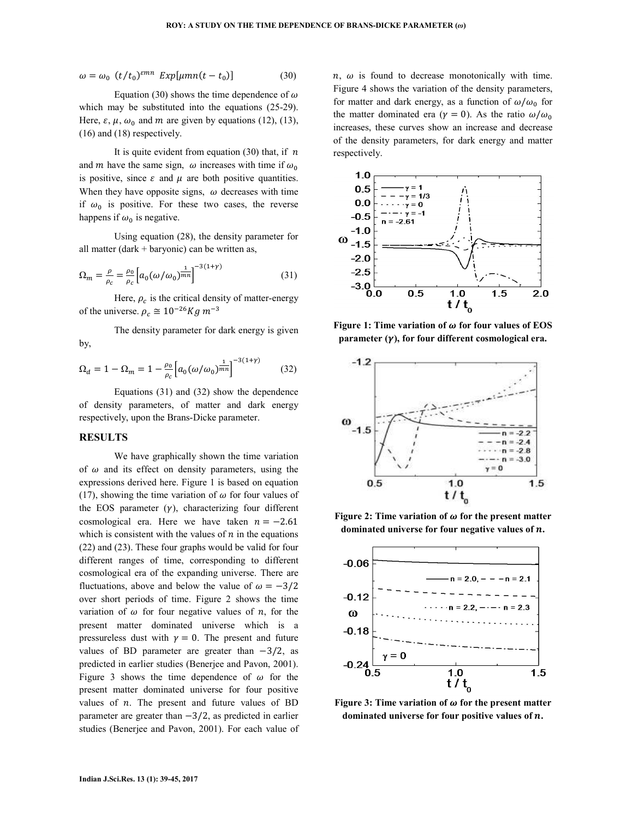$$
\omega = \omega_0 \ (t/t_0)^{2mn} \ Exp[\mu mn(t-t_0)] \tag{30}
$$

Equation (30) shows the time dependence of  $\omega$ which may be substituted into the equations (25-29). Here,  $\varepsilon$ ,  $\mu$ ,  $\omega_0$  and  $m$  are given by equations (12), (13), (16) and (18) respectively.

It is quite evident from equation (30) that, if  $n$ and m have the same sign,  $\omega$  increases with time if  $\omega_0$ is positive, since  $\varepsilon$  and  $\mu$  are both positive quantities. When they have opposite signs,  $\omega$  decreases with time if  $\omega_0$  is positive. For these two cases, the reverse happens if  $\omega_0$  is negative.

 Using equation (28), the density parameter for all matter (dark + baryonic) can be written as,

$$
\Omega_m = \frac{\rho}{\rho_c} = \frac{\rho_0}{\rho_c} \left[ a_0 (\omega/\omega_0)^{\frac{1}{mn}} \right]^{-3(1+\gamma)} \tag{31}
$$

Here,  $\rho_c$  is the critical density of matter-energy of the universe.  $\rho_c \cong 10^{-26} Kg \; m^{-3}$ 

 The density parameter for dark energy is given by,

$$
\Omega_d = 1 - \Omega_m = 1 - \frac{\rho_0}{\rho_c} \Big[ a_0 (\omega/\omega_0)^{\frac{1}{mn}} \Big]^{-3(1+\gamma)} \tag{32}
$$

 Equations (31) and (32) show the dependence of density parameters, of matter and dark energy respectively, upon the Brans-Dicke parameter.

## **RESULTS**

 We have graphically shown the time variation of  $\omega$  and its effect on density parameters, using the expressions derived here. Figure 1 is based on equation (17), showing the time variation of  $\omega$  for four values of the EOS parameter  $(y)$ , characterizing four different cosmological era. Here we have taken  $n = -2.61$ which is consistent with the values of  $n$  in the equations (22) and (23). These four graphs would be valid for four different ranges of time, corresponding to different cosmological era of the expanding universe. There are fluctuations, above and below the value of  $\omega = -3/2$ over short periods of time. Figure 2 shows the time variation of  $\omega$  for four negative values of n, for the present matter dominated universe which is a pressureless dust with  $y = 0$ . The present and future values of BD parameter are greater than  $-3/2$ , as predicted in earlier studies (Benerjee and Pavon, 2001). Figure 3 shows the time dependence of  $\omega$  for the present matter dominated universe for four positive values of  $n$ . The present and future values of BD parameter are greater than −3/2, as predicted in earlier studies (Benerjee and Pavon, 2001). For each value of  $n, \omega$  is found to decrease monotonically with time. Figure 4 shows the variation of the density parameters, for matter and dark energy, as a function of  $\omega/\omega_0$  for the matter dominated era ( $\gamma = 0$ ). As the ratio  $\omega/\omega_0$ increases, these curves show an increase and decrease of the density parameters, for dark energy and matter respectively.



**Figure 1: Time variation of**  $\omega$  **for four values of EOS parameter**  $(\gamma)$ **, for four different cosmological era.** 



Figure 2: Time variation of  $\omega$  for the present matter dominated universe for four negative values of  $n$ .



Figure 3: Time variation of  $\omega$  for the present matter **dominated universe for four positive values of** f**.**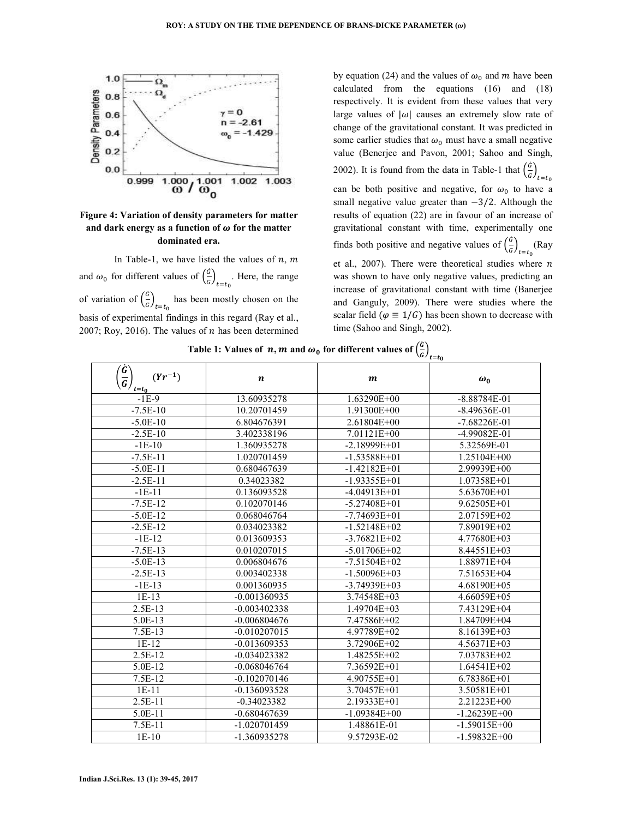

# **Figure 4: Variation of density parameters for matter**  and dark energy as a function of  $\omega$  for the matter **dominated era.**

In Table-1, we have listed the values of  $n, m$ and  $\omega_0$  for different values of  $\left(\frac{\dot{G}}{G}\right)$  $\left(\frac{a}{6}\right)_{t=t_0}$ . Here, the range of variation of  $\left(\frac{\dot{G}}{G}\right)$  $\left(\frac{a}{b}\right)_{t=t_0}$  has been mostly chosen on the basis of experimental findings in this regard (Ray et al., 2007; Roy, 2016). The values of  $n$  has been determined

by equation (24) and the values of  $\omega_0$  and m have been calculated from the equations (16) and (18) respectively. It is evident from these values that very large values of  $|\omega|$  causes an extremely slow rate of change of the gravitational constant. It was predicted in some earlier studies that  $\omega_0$  must have a small negative value (Benerjee and Pavon, 2001; Sahoo and Singh, 2002). It is found from the data in Table-1 that  $\left(\frac{\dot{G}}{G}\right)$  $\frac{1}{6}$ <sub>t=t<sub>0</sub></sub> can be both positive and negative, for  $\omega_0$  to have a small negative value greater than  $-3/2$ . Although the results of equation (22) are in favour of an increase of gravitational constant with time, experimentally one finds both positive and negative values of  $\left(\frac{\dot{G}}{G}\right)$  $\frac{d}{G}$ <sub> $t=t_0$ </sub>(Ray et al., 2007). There were theoretical studies where  $n$ was shown to have only negative values, predicting an increase of gravitational constant with time (Banerjee and Ganguly, 2009). There were studies where the scalar field ( $\varphi \equiv 1/G$ ) has been shown to decrease with time (Sahoo and Singh, 2002).

| $\left(\frac{\bar{G}}{G}\right)_{t=t_0}$<br>$(Yr^{-1})$ | $\boldsymbol{n}$ | $\boldsymbol{m}$ | $\omega_0$       |
|---------------------------------------------------------|------------------|------------------|------------------|
| $-1E-9$                                                 | 13.60935278      | 1.63290E+00      | $-8.88784E-01$   |
| $-7.5E-10$                                              | 10.20701459      | $1.91300E + 00$  | $-8.49636E - 01$ |
| $-5.0E-10$                                              | 6.804676391      | $2.61804E+00$    | $-7.68226E - 01$ |
| $-2.5E-10$                                              | 3.402338196      | $7.01121E+00$    | $-4.99082E - 01$ |
| $-1E-10$                                                | 1.360935278      | $-2.18999E+01$   | 5.32569E-01      |
| $-7.5E-11$                                              | 1.020701459      | $-1.53588E+01$   | $1.25104E+00$    |
| $-5.0E-11$                                              | 0.680467639      | $-1.42182E+01$   | 2.99939E+00      |
| $-2.5E-11$                                              | 0.34023382       | $-1.93355E+01$   | 1.07358E+01      |
| $-1E-11$                                                | 0.136093528      | $-4.04913E+01$   | 5.63670E+01      |
| $-7.5E-12$                                              | 0.102070146      | $-5.27408E + 01$ | 9.62505E+01      |
| $-5.0E-12$                                              | 0.068046764      | $-7.74693E+01$   | 2.07159E+02      |
| $-2.5E-12$                                              | 0.034023382      | $-1.52148E+02$   | 7.89019E+02      |
| $-1E-12$                                                | 0.013609353      | $-3.76821E+02$   | 4.77680E+03      |
| $-7.5E-13$                                              | 0.010207015      | $-5.01706E+02$   | 8.44551E+03      |
| $-5.0E-13$                                              | 0.006804676      | $-7.51504E+02$   | 1.88971E+04      |
| $-2.5E-13$                                              | 0.003402338      | $-1.50096E+03$   | 7.51653E+04      |
| $-1E-13$                                                | 0.001360935      | $-3.74939E+03$   | 4.68190E+05      |
| $1E-13$                                                 | $-0.001360935$   | 3.74548E+03      | 4.66059E+05      |
| 2.5E-13                                                 | $-0.003402338$   | $1.49704E+03$    | 7.43129E+04      |
| 5.0E-13                                                 | $-0.006804676$   | 7.47586E+02      | 1.84709E+04      |
| 7.5E-13                                                 | $-0.010207015$   | 4.97789E+02      | 8.16139E+03      |
| $1E-12$                                                 | $-0.013609353$   | 3.72906E+02      | 4.56371E+03      |
| $2.5E-12$                                               | $-0.034023382$   | 1.48255E+02      | 7.03783E+02      |
| 5.0E-12                                                 | $-0.068046764$   | 7.36592E+01      | $1.64541E+02$    |
| 7.5E-12                                                 | $-0.102070146$   | 4.90755E+01      | 6.78386E+01      |
| $1E-11$                                                 | $-0.136093528$   | $3.70457E + 01$  | 3.50581E+01      |
| $2.5E-11$                                               | $-0.34023382$    | 2.19333E+01      | 2.21223E+00      |
| 5.0E-11                                                 | $-0.680467639$   | $-1.09384E+00$   | $-1.26239E + 00$ |
| 7.5E-11                                                 | -1.020701459     | 1.48861E-01      | $-1.59015E+00$   |
| $1E-10$                                                 | -1.360935278     | 9.57293E-02      | $-1.59832E+00$   |

Table 1: Values of  $n, m$  and  $\omega_0$  for different values of  $\left(\frac{b}{a}\right)$  $\left(\frac{c}{c}\right)_{t=t_0}$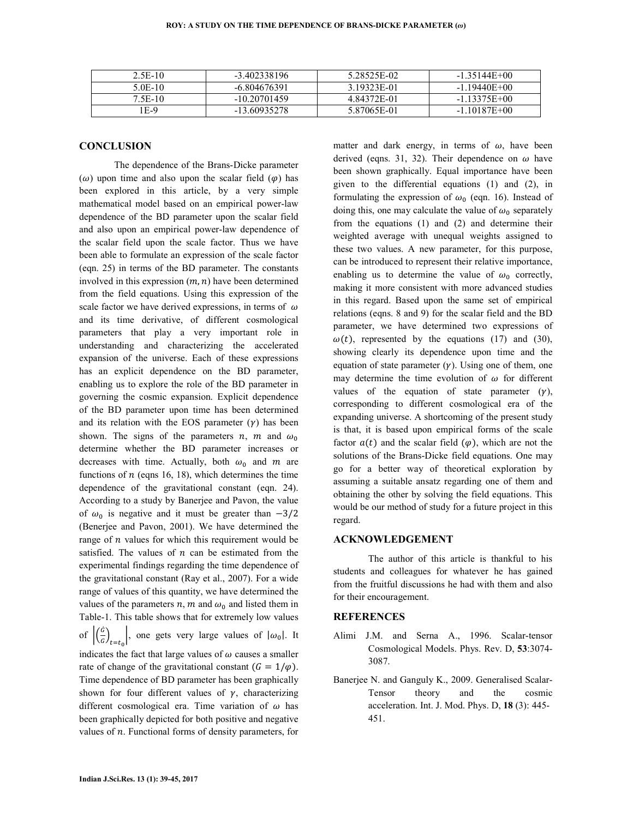| 2.5E-10 | $-3.402338196$ | 5 28525E-02 | $-1.35144E+00$ |
|---------|----------------|-------------|----------------|
| 5 OE-10 | -6.804676391   | 3.19323E-01 | $-1.19440E+00$ |
| 7 5E-10 | $-1020701459$  | 4 84372E-01 | $-1$ 13375E+00 |
| $E-9$   | -13.60935278   | 5.87065E-01 | $-1.10187E+00$ |

## **CONCLUSION**

 The dependence of the Brans-Dicke parameter  $(\omega)$  upon time and also upon the scalar field  $(\varphi)$  has been explored in this article, by a very simple mathematical model based on an empirical power-law dependence of the BD parameter upon the scalar field and also upon an empirical power-law dependence of the scalar field upon the scale factor. Thus we have been able to formulate an expression of the scale factor (eqn. 25) in terms of the BD parameter. The constants involved in this expression  $(m, n)$  have been determined from the field equations. Using this expression of the scale factor we have derived expressions, in terms of  $\omega$ and its time derivative, of different cosmological parameters that play a very important role in understanding and characterizing the accelerated expansion of the universe. Each of these expressions has an explicit dependence on the BD parameter, enabling us to explore the role of the BD parameter in governing the cosmic expansion. Explicit dependence of the BD parameter upon time has been determined and its relation with the EOS parameter  $(y)$  has been shown. The signs of the parameters n, m and  $\omega_0$ determine whether the BD parameter increases or decreases with time. Actually, both  $\omega_0$  and m are functions of  $n$  (eqns 16, 18), which determines the time dependence of the gravitational constant (eqn. 24). According to a study by Banerjee and Pavon, the value of  $\omega_0$  is negative and it must be greater than  $-3/2$ (Benerjee and Pavon, 2001). We have determined the range of  $n$  values for which this requirement would be satisfied. The values of  $n$  can be estimated from the experimental findings regarding the time dependence of the gravitational constant (Ray et al., 2007). For a wide range of values of this quantity, we have determined the values of the parameters  $n, m$  and  $\omega_0$  and listed them in Table-1. This table shows that for extremely low values of  $\left| \left( \frac{\hat{G}}{G} \right)_{t=t_0} \right|$ , one gets very large values of  $|\omega_0|$ . It indicates the fact that large values of  $\omega$  causes a smaller rate of change of the gravitational constant  $(G = 1/\varphi)$ . Time dependence of BD parameter has been graphically shown for four different values of  $\gamma$ , characterizing different cosmological era. Time variation of  $\omega$  has been graphically depicted for both positive and negative values of  $n$ . Functional forms of density parameters, for

matter and dark energy, in terms of  $\omega$ , have been derived (eqns. 31, 32). Their dependence on  $\omega$  have been shown graphically. Equal importance have been given to the differential equations (1) and (2), in formulating the expression of  $\omega_0$  (eqn. 16). Instead of doing this, one may calculate the value of  $\omega_0$  separately from the equations (1) and (2) and determine their weighted average with unequal weights assigned to these two values. A new parameter, for this purpose, can be introduced to represent their relative importance, enabling us to determine the value of  $\omega_0$  correctly, making it more consistent with more advanced studies in this regard. Based upon the same set of empirical relations (eqns. 8 and 9) for the scalar field and the BD parameter, we have determined two expressions of  $\omega(t)$ , represented by the equations (17) and (30), showing clearly its dependence upon time and the equation of state parameter  $(y)$ . Using one of them, one may determine the time evolution of  $\omega$  for different values of the equation of state parameter  $(y)$ , corresponding to different cosmological era of the expanding universe. A shortcoming of the present study is that, it is based upon empirical forms of the scale factor  $a(t)$  and the scalar field  $(\varphi)$ , which are not the solutions of the Brans-Dicke field equations. One may go for a better way of theoretical exploration by assuming a suitable ansatz regarding one of them and obtaining the other by solving the field equations. This would be our method of study for a future project in this regard.

## **ACKNOWLEDGEMENT**

 The author of this article is thankful to his students and colleagues for whatever he has gained from the fruitful discussions he had with them and also for their encouragement.

#### **REFERENCES**

- Alimi J.M. and Serna A., 1996. Scalar-tensor Cosmological Models. Phys. Rev. D, **53**:3074- 3087.
- Banerjee N. and Ganguly K., 2009. Generalised Scalar-Tensor theory and the cosmic acceleration. Int. J. Mod. Phys. D, **18** (3): 445- 451.